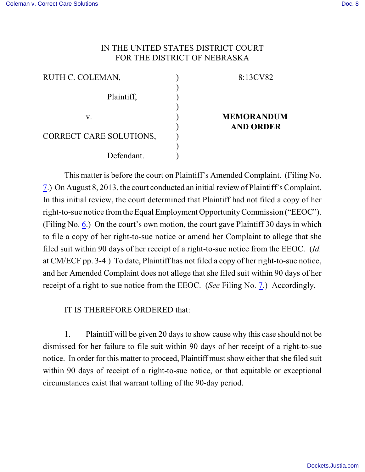## IN THE UNITED STATES DISTRICT COURT FOR THE DISTRICT OF NEBRASKA

| RUTH C. COLEMAN,        |  |
|-------------------------|--|
|                         |  |
| Plaintiff,              |  |
|                         |  |
| V.                      |  |
|                         |  |
| CORRECT CARE SOLUTIONS, |  |
|                         |  |
| Defendant.              |  |

## 8:13CV82

## **MEMORANDUM AND ORDER**

This matter is before the court on Plaintiff's Amended Complaint. (Filing No. [7](http://ecf.ned.uscourts.gov/doc1/11302848786).) On August 8, 2013, the court conducted an initial review of Plaintiff's Complaint. In this initial review, the court determined that Plaintiff had not filed a copy of her right-to-sue notice from the Equal Employment Opportunity Commission ("EEOC"). (Filing No. [6](http://ecf.ned.uscourts.gov/doc1/11302840958).) On the court's own motion, the court gave Plaintiff 30 days in which to file a copy of her right-to-sue notice or amend her Complaint to allege that she filed suit within 90 days of her receipt of a right-to-sue notice from the EEOC. (*Id.* at CM/ECF pp. 3-4.) To date, Plaintiff has not filed a copy of her right-to-sue notice, and her Amended Complaint does not allege that she filed suit within 90 days of her receipt of a right-to-sue notice from the EEOC. (*See* Filing No. [7](http://ecf.ned.uscourts.gov/doc1/11302848786).) Accordingly,

IT IS THEREFORE ORDERED that:

1. Plaintiff will be given 20 days to show cause why this case should not be dismissed for her failure to file suit within 90 days of her receipt of a right-to-sue notice. In order for this matter to proceed, Plaintiff must show either thatshe filed suit within 90 days of receipt of a right-to-sue notice, or that equitable or exceptional circumstances exist that warrant tolling of the 90-day period.